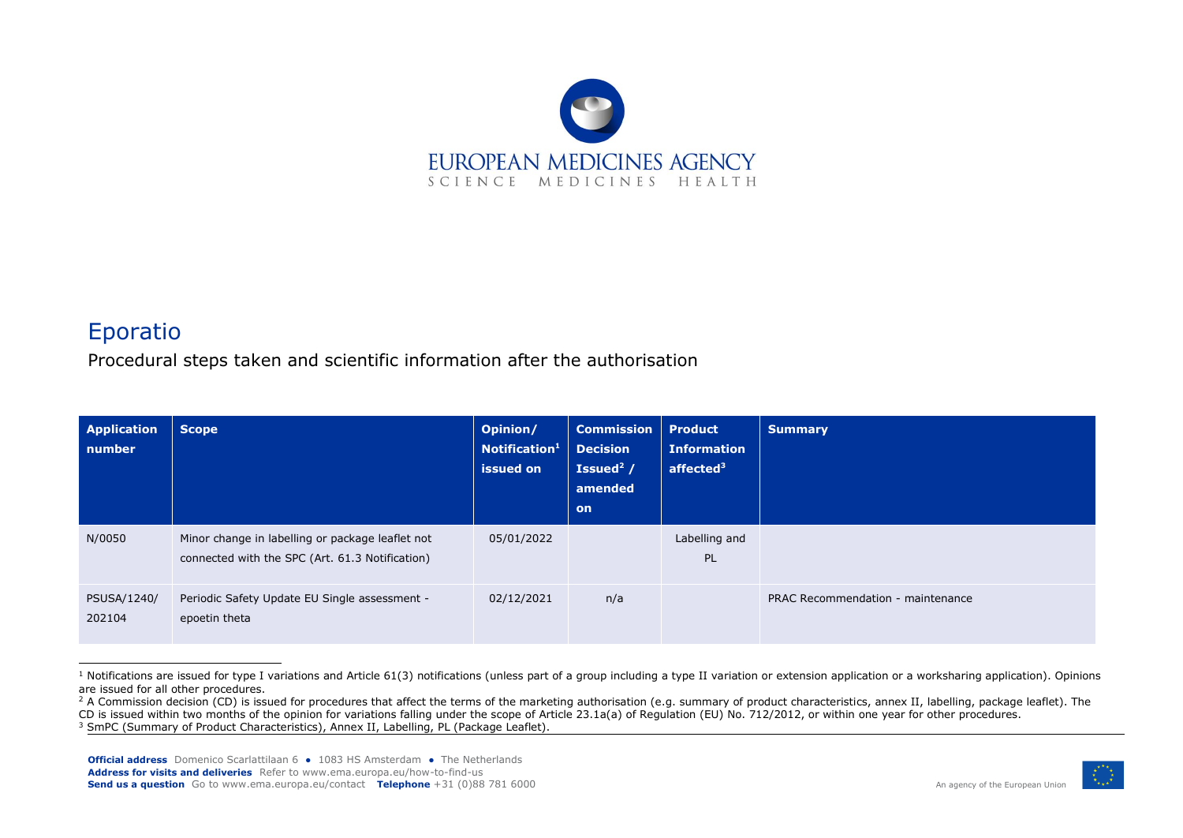

## Eporatio

Procedural steps taken and scientific information after the authorisation

| <b>Application</b><br>number | <b>Scope</b>                                                                                        | Opinion/<br>Notification <sup>1</sup><br>issued on | <b>Commission</b><br><b>Decision</b><br>Issued <sup>2</sup> /<br>amended<br><b>on</b> | <b>Product</b><br><b>Information</b><br>affected <sup>3</sup> | <b>Summary</b>                    |
|------------------------------|-----------------------------------------------------------------------------------------------------|----------------------------------------------------|---------------------------------------------------------------------------------------|---------------------------------------------------------------|-----------------------------------|
| N/0050                       | Minor change in labelling or package leaflet not<br>connected with the SPC (Art. 61.3 Notification) | 05/01/2022                                         |                                                                                       | Labelling and<br>PL                                           |                                   |
| PSUSA/1240/<br>202104        | Periodic Safety Update EU Single assessment -<br>epoetin theta                                      | 02/12/2021                                         | n/a                                                                                   |                                                               | PRAC Recommendation - maintenance |

 $1$  Notifications are issued for type I variations and Article 61(3) notifications (unless part of a group including a type II variation or extension application or a worksharing application). Opinions are issued for all other procedures.



<sup>&</sup>lt;sup>2</sup> A Commission decision (CD) is issued for procedures that affect the terms of the marketing authorisation (e.g. summary of product characteristics, annex II, labelling, package leaflet). The CD is issued within two months of the opinion for variations falling under the scope of Article 23.1a(a) of Regulation (EU) No. 712/2012, or within one year for other procedures.

<sup>&</sup>lt;sup>3</sup> SmPC (Summary of Product Characteristics), Annex II, Labelling, PL (Package Leaflet).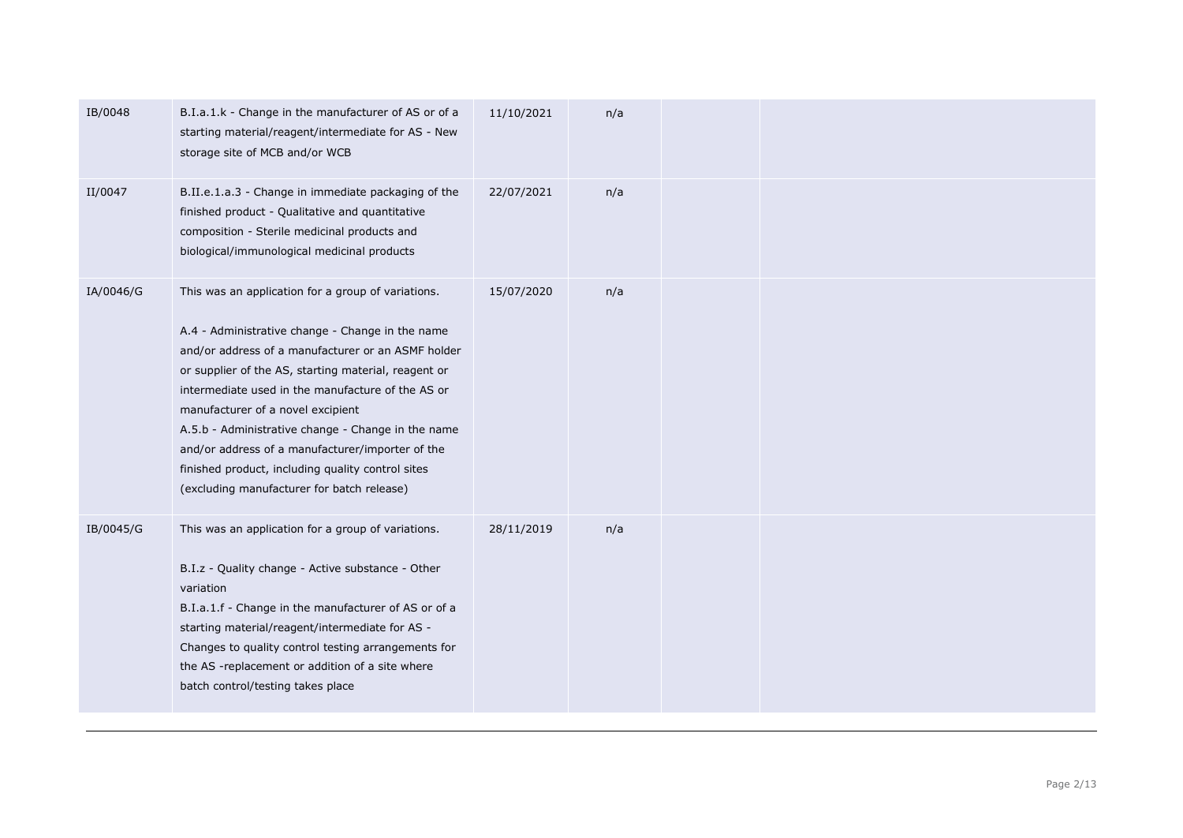| IB/0048   | B.I.a.1.k - Change in the manufacturer of AS or of a<br>starting material/reagent/intermediate for AS - New<br>storage site of MCB and/or WCB                                                                                                                                                                                                                                                                                                                                                                               | 11/10/2021 | n/a |  |  |
|-----------|-----------------------------------------------------------------------------------------------------------------------------------------------------------------------------------------------------------------------------------------------------------------------------------------------------------------------------------------------------------------------------------------------------------------------------------------------------------------------------------------------------------------------------|------------|-----|--|--|
| II/0047   | B.II.e.1.a.3 - Change in immediate packaging of the<br>finished product - Qualitative and quantitative<br>composition - Sterile medicinal products and<br>biological/immunological medicinal products                                                                                                                                                                                                                                                                                                                       | 22/07/2021 | n/a |  |  |
| IA/0046/G | This was an application for a group of variations.<br>A.4 - Administrative change - Change in the name<br>and/or address of a manufacturer or an ASMF holder<br>or supplier of the AS, starting material, reagent or<br>intermediate used in the manufacture of the AS or<br>manufacturer of a novel excipient<br>A.5.b - Administrative change - Change in the name<br>and/or address of a manufacturer/importer of the<br>finished product, including quality control sites<br>(excluding manufacturer for batch release) | 15/07/2020 | n/a |  |  |
| IB/0045/G | This was an application for a group of variations.<br>B.I.z - Quality change - Active substance - Other<br>variation<br>B.I.a.1.f - Change in the manufacturer of AS or of a<br>starting material/reagent/intermediate for AS -<br>Changes to quality control testing arrangements for<br>the AS -replacement or addition of a site where<br>batch control/testing takes place                                                                                                                                              | 28/11/2019 | n/a |  |  |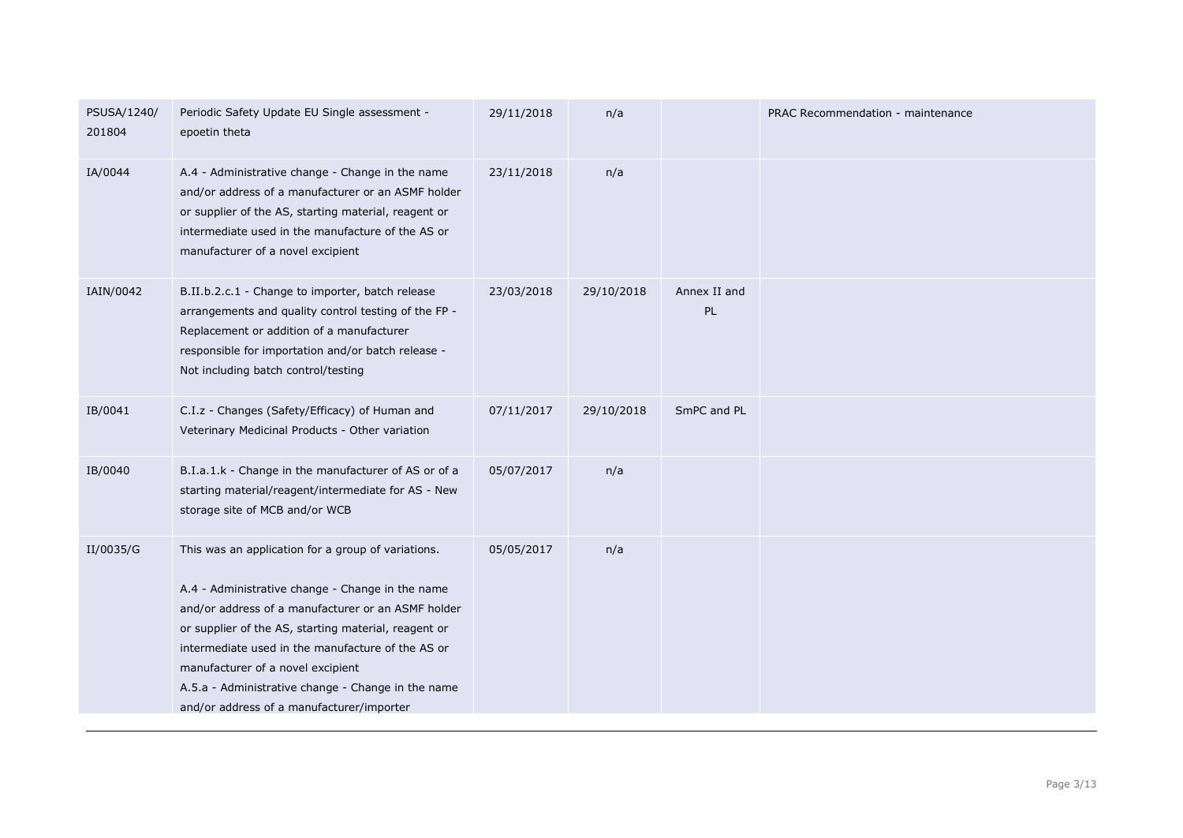| PSUSA/1240/<br>201804 | Periodic Safety Update EU Single assessment -<br>epoetin theta                                                                                                                                                                                                                                                                                                                                                    | 29/11/2018 | n/a        |                    | PRAC Recommendation - maintenance |
|-----------------------|-------------------------------------------------------------------------------------------------------------------------------------------------------------------------------------------------------------------------------------------------------------------------------------------------------------------------------------------------------------------------------------------------------------------|------------|------------|--------------------|-----------------------------------|
| IA/0044               | A.4 - Administrative change - Change in the name<br>and/or address of a manufacturer or an ASMF holder<br>or supplier of the AS, starting material, reagent or<br>intermediate used in the manufacture of the AS or<br>manufacturer of a novel excipient                                                                                                                                                          | 23/11/2018 | n/a        |                    |                                   |
| IAIN/0042             | B.II.b.2.c.1 - Change to importer, batch release<br>arrangements and quality control testing of the FP -<br>Replacement or addition of a manufacturer<br>responsible for importation and/or batch release -<br>Not including batch control/testing                                                                                                                                                                | 23/03/2018 | 29/10/2018 | Annex II and<br>PL |                                   |
| IB/0041               | C.I.z - Changes (Safety/Efficacy) of Human and<br>Veterinary Medicinal Products - Other variation                                                                                                                                                                                                                                                                                                                 | 07/11/2017 | 29/10/2018 | SmPC and PL        |                                   |
| IB/0040               | B.I.a.1.k - Change in the manufacturer of AS or of a<br>starting material/reagent/intermediate for AS - New<br>storage site of MCB and/or WCB                                                                                                                                                                                                                                                                     | 05/07/2017 | n/a        |                    |                                   |
| II/0035/G             | This was an application for a group of variations.<br>A.4 - Administrative change - Change in the name<br>and/or address of a manufacturer or an ASMF holder<br>or supplier of the AS, starting material, reagent or<br>intermediate used in the manufacture of the AS or<br>manufacturer of a novel excipient<br>A.5.a - Administrative change - Change in the name<br>and/or address of a manufacturer/importer | 05/05/2017 | n/a        |                    |                                   |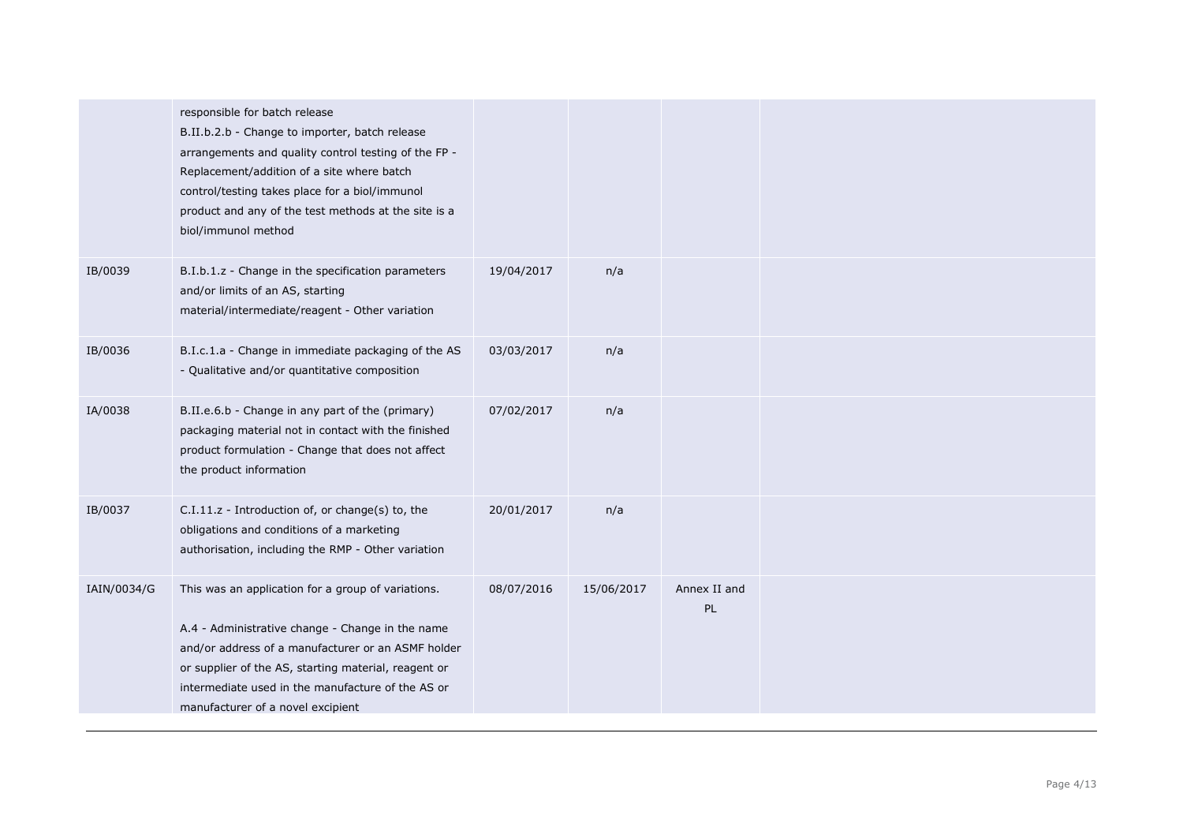|             | responsible for batch release<br>B.II.b.2.b - Change to importer, batch release<br>arrangements and quality control testing of the FP -<br>Replacement/addition of a site where batch<br>control/testing takes place for a biol/immunol<br>product and any of the test methods at the site is a<br>biol/immunol method |            |            |                    |  |
|-------------|------------------------------------------------------------------------------------------------------------------------------------------------------------------------------------------------------------------------------------------------------------------------------------------------------------------------|------------|------------|--------------------|--|
| IB/0039     | B.I.b.1.z - Change in the specification parameters<br>and/or limits of an AS, starting<br>material/intermediate/reagent - Other variation                                                                                                                                                                              | 19/04/2017 | n/a        |                    |  |
| IB/0036     | B.I.c.1.a - Change in immediate packaging of the AS<br>- Qualitative and/or quantitative composition                                                                                                                                                                                                                   | 03/03/2017 | n/a        |                    |  |
| IA/0038     | B.II.e.6.b - Change in any part of the (primary)<br>packaging material not in contact with the finished<br>product formulation - Change that does not affect<br>the product information                                                                                                                                | 07/02/2017 | n/a        |                    |  |
| IB/0037     | C.I.11.z - Introduction of, or change(s) to, the<br>obligations and conditions of a marketing<br>authorisation, including the RMP - Other variation                                                                                                                                                                    | 20/01/2017 | n/a        |                    |  |
| IAIN/0034/G | This was an application for a group of variations.<br>A.4 - Administrative change - Change in the name<br>and/or address of a manufacturer or an ASMF holder<br>or supplier of the AS, starting material, reagent or<br>intermediate used in the manufacture of the AS or<br>manufacturer of a novel excipient         | 08/07/2016 | 15/06/2017 | Annex II and<br>PL |  |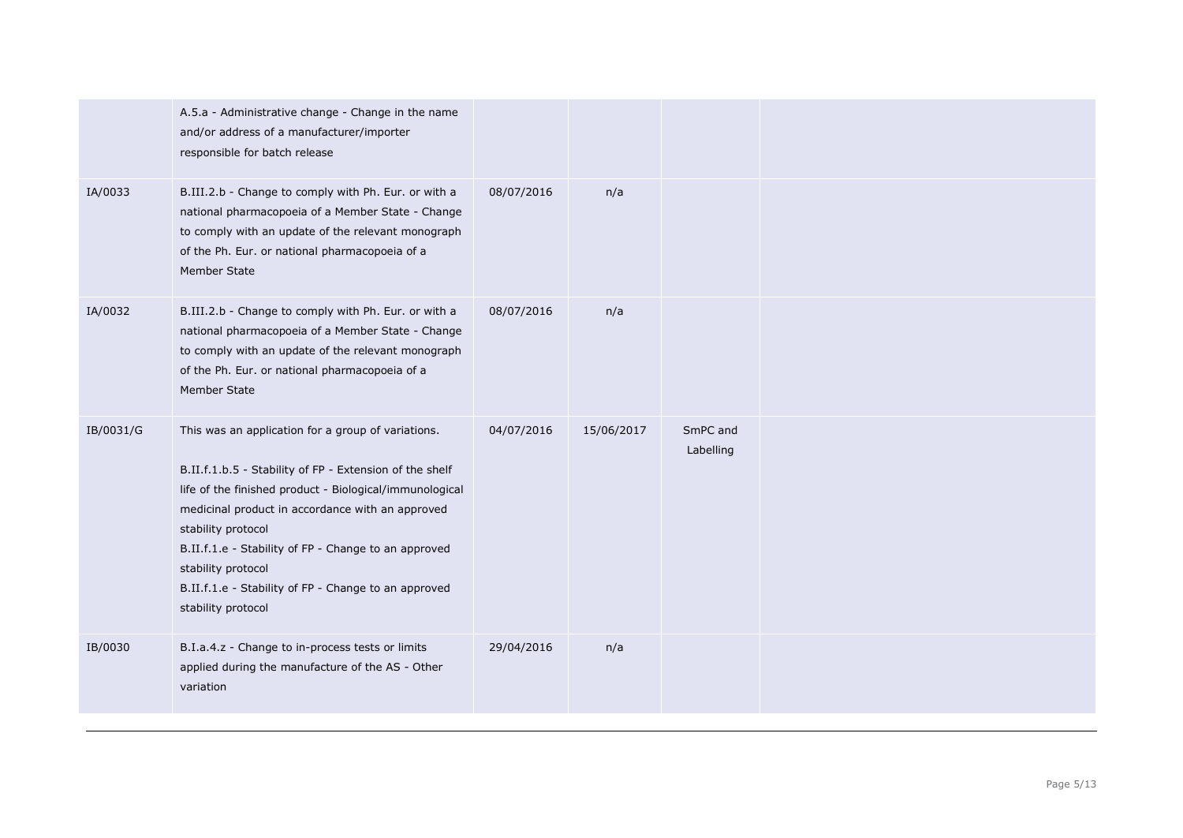|           | A.5.a - Administrative change - Change in the name<br>and/or address of a manufacturer/importer<br>responsible for batch release                                                                                                                                                                                                                                                                               |            |            |                       |  |
|-----------|----------------------------------------------------------------------------------------------------------------------------------------------------------------------------------------------------------------------------------------------------------------------------------------------------------------------------------------------------------------------------------------------------------------|------------|------------|-----------------------|--|
| IA/0033   | B.III.2.b - Change to comply with Ph. Eur. or with a<br>national pharmacopoeia of a Member State - Change<br>to comply with an update of the relevant monograph<br>of the Ph. Eur. or national pharmacopoeia of a<br>Member State                                                                                                                                                                              | 08/07/2016 | n/a        |                       |  |
| IA/0032   | B.III.2.b - Change to comply with Ph. Eur. or with a<br>national pharmacopoeia of a Member State - Change<br>to comply with an update of the relevant monograph<br>of the Ph. Eur. or national pharmacopoeia of a<br>Member State                                                                                                                                                                              | 08/07/2016 | n/a        |                       |  |
| IB/0031/G | This was an application for a group of variations.<br>B.II.f.1.b.5 - Stability of FP - Extension of the shelf<br>life of the finished product - Biological/immunological<br>medicinal product in accordance with an approved<br>stability protocol<br>B.II.f.1.e - Stability of FP - Change to an approved<br>stability protocol<br>B.II.f.1.e - Stability of FP - Change to an approved<br>stability protocol | 04/07/2016 | 15/06/2017 | SmPC and<br>Labelling |  |
| IB/0030   | B.I.a.4.z - Change to in-process tests or limits<br>applied during the manufacture of the AS - Other<br>variation                                                                                                                                                                                                                                                                                              | 29/04/2016 | n/a        |                       |  |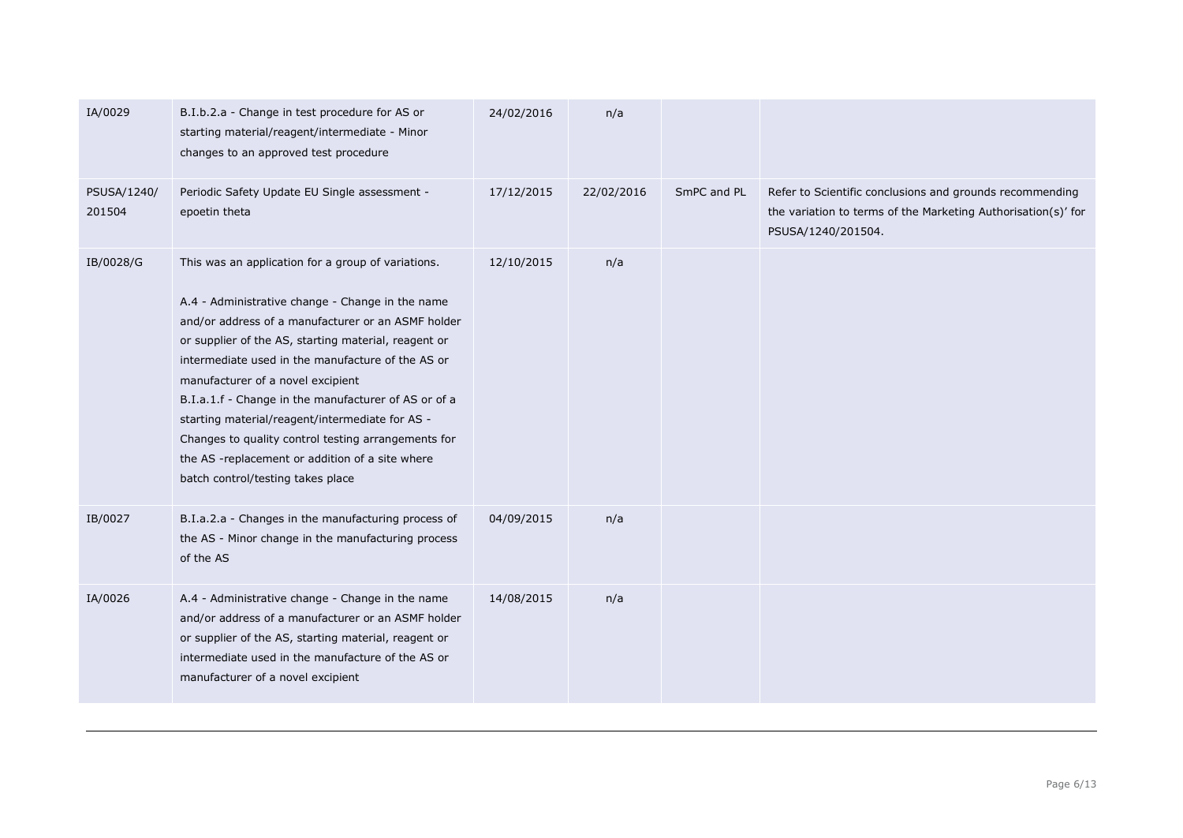| IA/0029               | B.I.b.2.a - Change in test procedure for AS or<br>starting material/reagent/intermediate - Minor<br>changes to an approved test procedure                                                                                                                                                                                                                                                                                                                                                                                                                                | 24/02/2016 | n/a        |             |                                                                                                                                                 |
|-----------------------|--------------------------------------------------------------------------------------------------------------------------------------------------------------------------------------------------------------------------------------------------------------------------------------------------------------------------------------------------------------------------------------------------------------------------------------------------------------------------------------------------------------------------------------------------------------------------|------------|------------|-------------|-------------------------------------------------------------------------------------------------------------------------------------------------|
| PSUSA/1240/<br>201504 | Periodic Safety Update EU Single assessment -<br>epoetin theta                                                                                                                                                                                                                                                                                                                                                                                                                                                                                                           | 17/12/2015 | 22/02/2016 | SmPC and PL | Refer to Scientific conclusions and grounds recommending<br>the variation to terms of the Marketing Authorisation(s)' for<br>PSUSA/1240/201504. |
| IB/0028/G             | This was an application for a group of variations.<br>A.4 - Administrative change - Change in the name<br>and/or address of a manufacturer or an ASMF holder<br>or supplier of the AS, starting material, reagent or<br>intermediate used in the manufacture of the AS or<br>manufacturer of a novel excipient<br>B.I.a.1.f - Change in the manufacturer of AS or of a<br>starting material/reagent/intermediate for AS -<br>Changes to quality control testing arrangements for<br>the AS -replacement or addition of a site where<br>batch control/testing takes place | 12/10/2015 | n/a        |             |                                                                                                                                                 |
| IB/0027               | B.I.a.2.a - Changes in the manufacturing process of<br>the AS - Minor change in the manufacturing process<br>of the AS                                                                                                                                                                                                                                                                                                                                                                                                                                                   | 04/09/2015 | n/a        |             |                                                                                                                                                 |
| IA/0026               | A.4 - Administrative change - Change in the name<br>and/or address of a manufacturer or an ASMF holder<br>or supplier of the AS, starting material, reagent or<br>intermediate used in the manufacture of the AS or<br>manufacturer of a novel excipient                                                                                                                                                                                                                                                                                                                 | 14/08/2015 | n/a        |             |                                                                                                                                                 |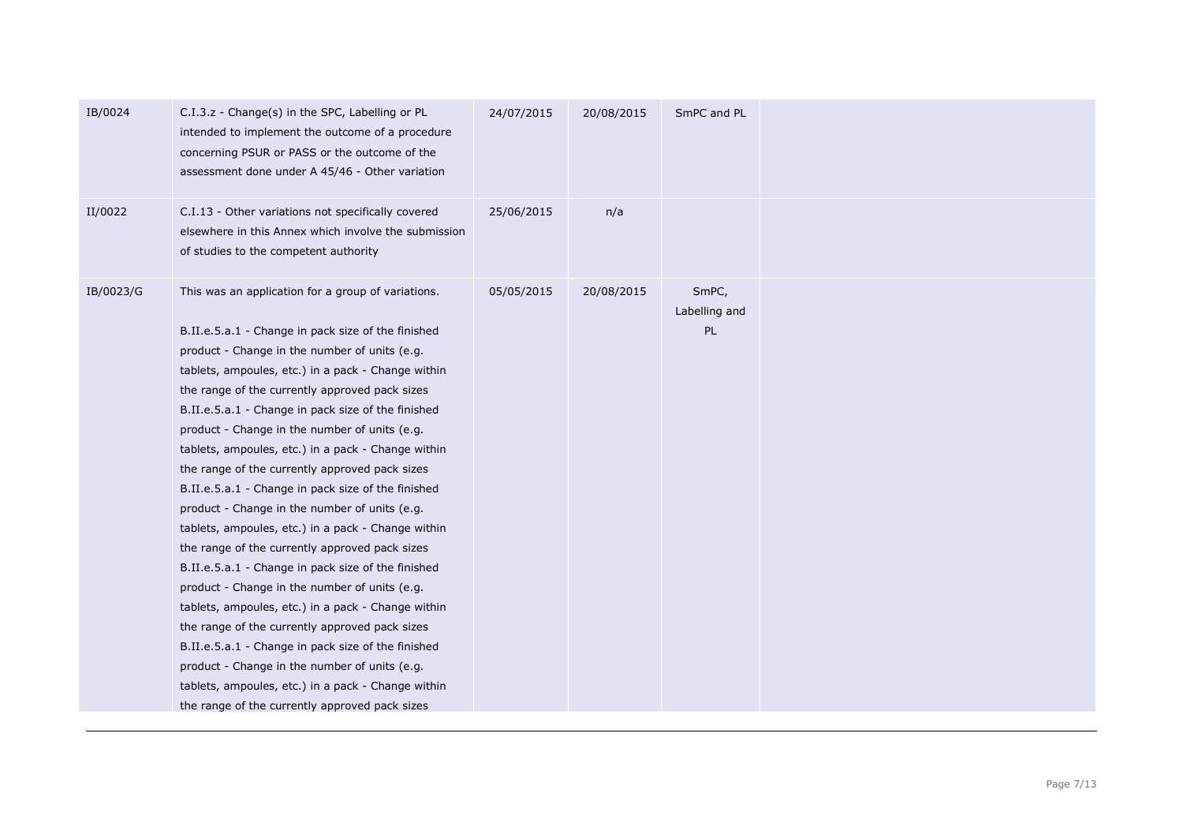| IB/0024   | C.I.3.z - Change(s) in the SPC, Labelling or PL<br>intended to implement the outcome of a procedure<br>concerning PSUR or PASS or the outcome of the<br>assessment done under A 45/46 - Other variation                                                                                                                                                                                                                                                                                                                                                                                                                                                                                                                                                                                                                                                                                                                                                                                                                                                                                                                       | 24/07/2015 | 20/08/2015 | SmPC and PL                  |  |
|-----------|-------------------------------------------------------------------------------------------------------------------------------------------------------------------------------------------------------------------------------------------------------------------------------------------------------------------------------------------------------------------------------------------------------------------------------------------------------------------------------------------------------------------------------------------------------------------------------------------------------------------------------------------------------------------------------------------------------------------------------------------------------------------------------------------------------------------------------------------------------------------------------------------------------------------------------------------------------------------------------------------------------------------------------------------------------------------------------------------------------------------------------|------------|------------|------------------------------|--|
| II/0022   | C.I.13 - Other variations not specifically covered<br>elsewhere in this Annex which involve the submission<br>of studies to the competent authority                                                                                                                                                                                                                                                                                                                                                                                                                                                                                                                                                                                                                                                                                                                                                                                                                                                                                                                                                                           | 25/06/2015 | n/a        |                              |  |
| IB/0023/G | This was an application for a group of variations.<br>B.II.e.5.a.1 - Change in pack size of the finished<br>product - Change in the number of units (e.g.<br>tablets, ampoules, etc.) in a pack - Change within<br>the range of the currently approved pack sizes<br>B.II.e.5.a.1 - Change in pack size of the finished<br>product - Change in the number of units (e.g.<br>tablets, ampoules, etc.) in a pack - Change within<br>the range of the currently approved pack sizes<br>B.II.e.5.a.1 - Change in pack size of the finished<br>product - Change in the number of units (e.g.<br>tablets, ampoules, etc.) in a pack - Change within<br>the range of the currently approved pack sizes<br>B.II.e.5.a.1 - Change in pack size of the finished<br>product - Change in the number of units (e.g.<br>tablets, ampoules, etc.) in a pack - Change within<br>the range of the currently approved pack sizes<br>B.II.e.5.a.1 - Change in pack size of the finished<br>product - Change in the number of units (e.g.<br>tablets, ampoules, etc.) in a pack - Change within<br>the range of the currently approved pack sizes | 05/05/2015 | 20/08/2015 | SmPC,<br>Labelling and<br>PL |  |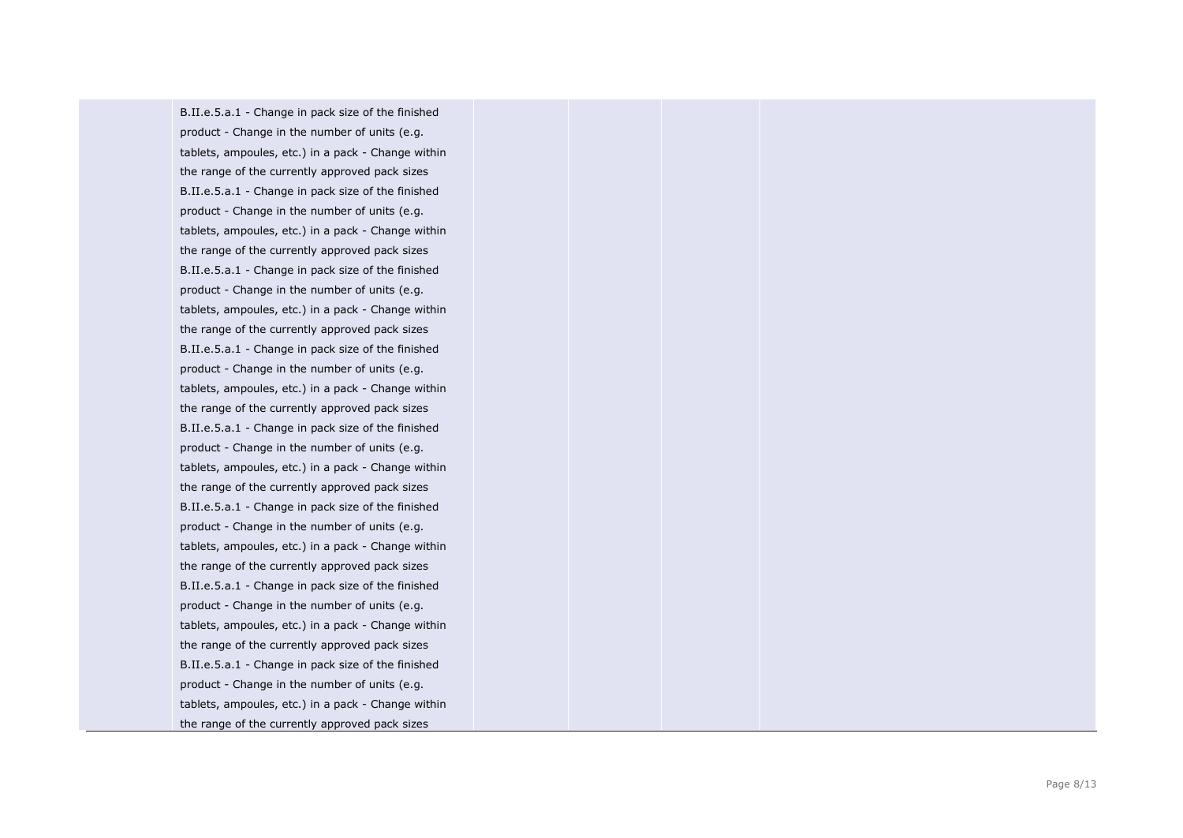B.II.e.5.a.1 - Change in pack size of the finished product - Change in the number of units (e.g. tablets, ampoules, etc.) in a pack - Change within the range of the currently approved pack sizes B.II.e.5.a.1 - Change in pack size of the finished product - Change in the number of units (e.g. tablets, ampoules, etc.) in a pack - Change within the range of the currently approved pack sizes B.II.e.5.a.1 - Change in pack size of the finished product - Change in the number of units (e.g. tablets, ampoules, etc.) in a pack - Change within the range of the currently approved pack sizes B.II.e.5.a.1 - Change in pack size of the finished product - Change in the number of units (e.g. tablets, ampoules, etc.) in a pack - Change within the range of the currently approved pack sizes B.II.e.5.a.1 - Change in pack size of the finished product - Change in the number of units (e.g. tablets, ampoules, etc.) in a pack - Change within the range of the currently approved pack sizes B.II.e.5.a.1 - Change in pack size of the finished product - Change in the number of units (e.g. tablets, ampoules, etc.) in a pack - Change within the range of the currently approved pack sizes B.II.e.5.a.1 - Change in pack size of the finished product - Change in the number of units (e.g. tablets, ampoules, etc.) in a pack - Change within the range of the currently approved pack sizes B.II.e.5.a.1 - Change in pack size of the finished product - Change in the number of units (e.g. tablets, ampoules, etc.) in a pack - Change within the range of the currently approved pack sizes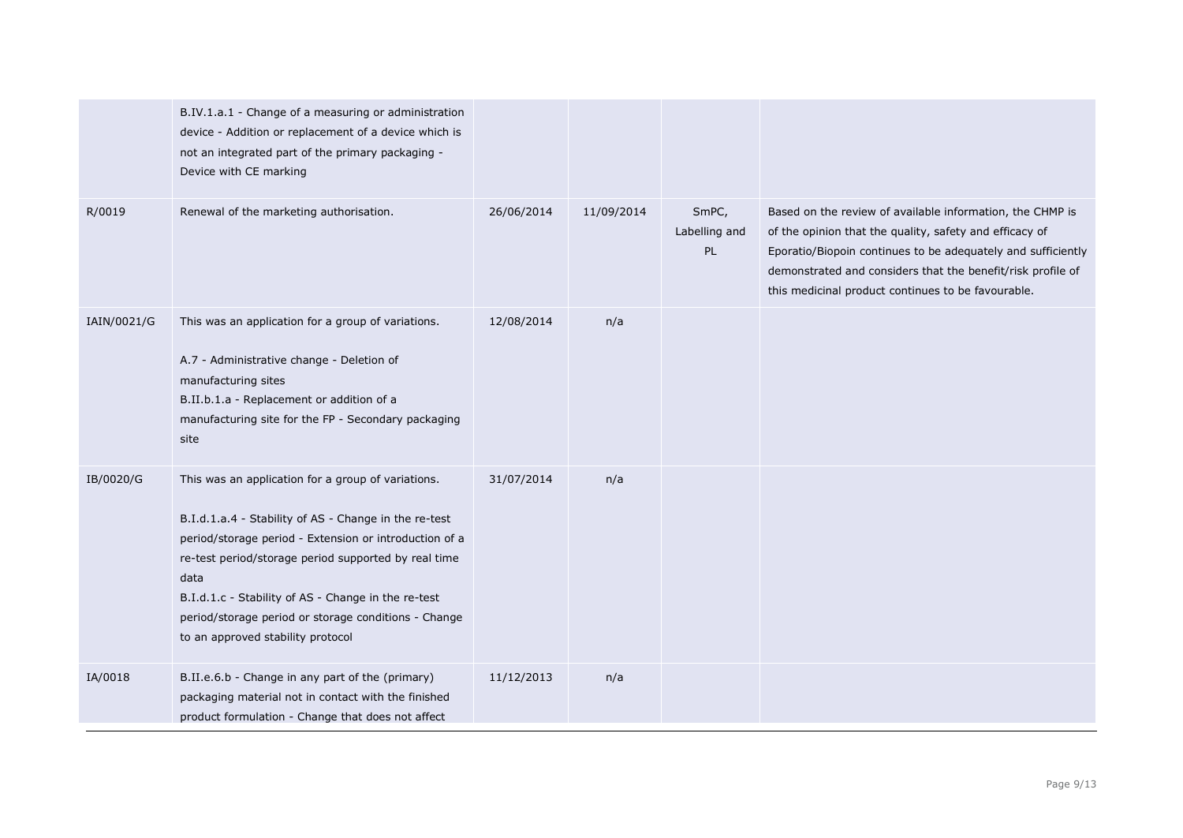|             | B.IV.1.a.1 - Change of a measuring or administration<br>device - Addition or replacement of a device which is<br>not an integrated part of the primary packaging -<br>Device with CE marking                                                                                                                                                                                              |            |            |                              |                                                                                                                                                                                                                                                                                                           |
|-------------|-------------------------------------------------------------------------------------------------------------------------------------------------------------------------------------------------------------------------------------------------------------------------------------------------------------------------------------------------------------------------------------------|------------|------------|------------------------------|-----------------------------------------------------------------------------------------------------------------------------------------------------------------------------------------------------------------------------------------------------------------------------------------------------------|
| R/0019      | Renewal of the marketing authorisation.                                                                                                                                                                                                                                                                                                                                                   | 26/06/2014 | 11/09/2014 | SmPC,<br>Labelling and<br>PL | Based on the review of available information, the CHMP is<br>of the opinion that the quality, safety and efficacy of<br>Eporatio/Biopoin continues to be adequately and sufficiently<br>demonstrated and considers that the benefit/risk profile of<br>this medicinal product continues to be favourable. |
| IAIN/0021/G | This was an application for a group of variations.<br>A.7 - Administrative change - Deletion of<br>manufacturing sites<br>B.II.b.1.a - Replacement or addition of a<br>manufacturing site for the FP - Secondary packaging<br>site                                                                                                                                                        | 12/08/2014 | n/a        |                              |                                                                                                                                                                                                                                                                                                           |
| IB/0020/G   | This was an application for a group of variations.<br>B.I.d.1.a.4 - Stability of AS - Change in the re-test<br>period/storage period - Extension or introduction of a<br>re-test period/storage period supported by real time<br>data<br>B.I.d.1.c - Stability of AS - Change in the re-test<br>period/storage period or storage conditions - Change<br>to an approved stability protocol | 31/07/2014 | n/a        |                              |                                                                                                                                                                                                                                                                                                           |
| IA/0018     | B.II.e.6.b - Change in any part of the (primary)<br>packaging material not in contact with the finished<br>product formulation - Change that does not affect                                                                                                                                                                                                                              | 11/12/2013 | n/a        |                              |                                                                                                                                                                                                                                                                                                           |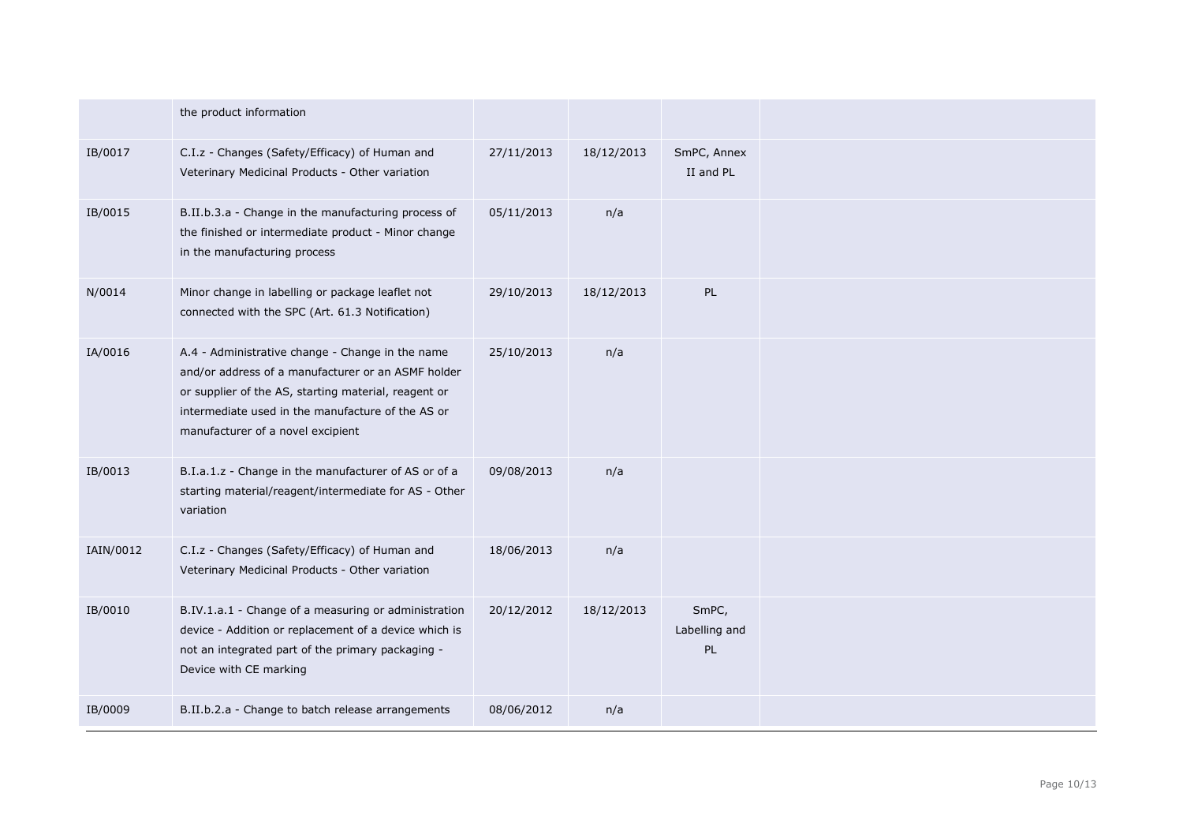|           | the product information                                                                                                                                                                                                                                  |            |            |                              |
|-----------|----------------------------------------------------------------------------------------------------------------------------------------------------------------------------------------------------------------------------------------------------------|------------|------------|------------------------------|
| IB/0017   | C.I.z - Changes (Safety/Efficacy) of Human and<br>Veterinary Medicinal Products - Other variation                                                                                                                                                        | 27/11/2013 | 18/12/2013 | SmPC, Annex<br>II and PL     |
| IB/0015   | B.II.b.3.a - Change in the manufacturing process of<br>the finished or intermediate product - Minor change<br>in the manufacturing process                                                                                                               | 05/11/2013 | n/a        |                              |
| N/0014    | Minor change in labelling or package leaflet not<br>connected with the SPC (Art. 61.3 Notification)                                                                                                                                                      | 29/10/2013 | 18/12/2013 | PL                           |
| IA/0016   | A.4 - Administrative change - Change in the name<br>and/or address of a manufacturer or an ASMF holder<br>or supplier of the AS, starting material, reagent or<br>intermediate used in the manufacture of the AS or<br>manufacturer of a novel excipient | 25/10/2013 | n/a        |                              |
| IB/0013   | B.I.a.1.z - Change in the manufacturer of AS or of a<br>starting material/reagent/intermediate for AS - Other<br>variation                                                                                                                               | 09/08/2013 | n/a        |                              |
| IAIN/0012 | C.I.z - Changes (Safety/Efficacy) of Human and<br>Veterinary Medicinal Products - Other variation                                                                                                                                                        | 18/06/2013 | n/a        |                              |
| IB/0010   | B.IV.1.a.1 - Change of a measuring or administration<br>device - Addition or replacement of a device which is<br>not an integrated part of the primary packaging -<br>Device with CE marking                                                             | 20/12/2012 | 18/12/2013 | SmPC,<br>Labelling and<br>PL |
| IB/0009   | B.II.b.2.a - Change to batch release arrangements                                                                                                                                                                                                        | 08/06/2012 | n/a        |                              |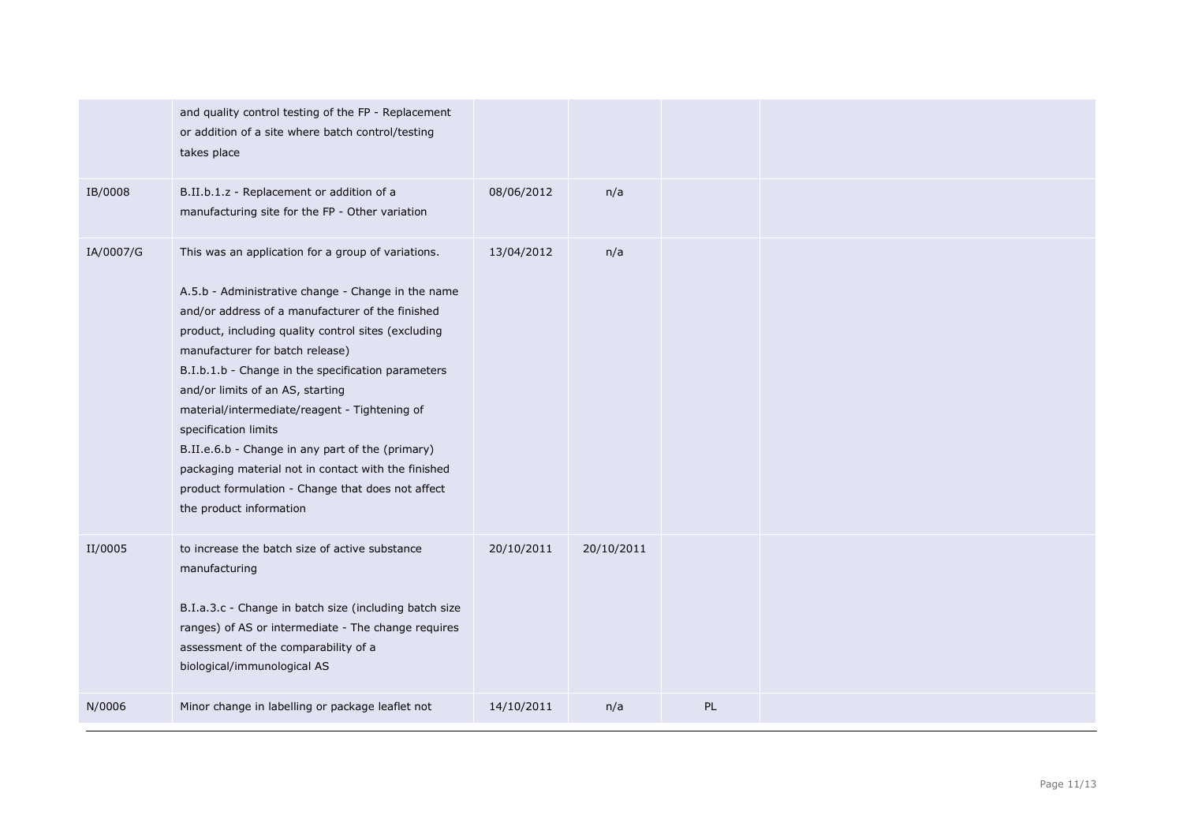|           | and quality control testing of the FP - Replacement<br>or addition of a site where batch control/testing<br>takes place                                                                                                                                                                                                                                                                                                                                                                                                                                                                                              |            |            |    |  |
|-----------|----------------------------------------------------------------------------------------------------------------------------------------------------------------------------------------------------------------------------------------------------------------------------------------------------------------------------------------------------------------------------------------------------------------------------------------------------------------------------------------------------------------------------------------------------------------------------------------------------------------------|------------|------------|----|--|
| IB/0008   | B.II.b.1.z - Replacement or addition of a<br>manufacturing site for the FP - Other variation                                                                                                                                                                                                                                                                                                                                                                                                                                                                                                                         | 08/06/2012 | n/a        |    |  |
| IA/0007/G | This was an application for a group of variations.<br>A.5.b - Administrative change - Change in the name<br>and/or address of a manufacturer of the finished<br>product, including quality control sites (excluding<br>manufacturer for batch release)<br>B.I.b.1.b - Change in the specification parameters<br>and/or limits of an AS, starting<br>material/intermediate/reagent - Tightening of<br>specification limits<br>B.II.e.6.b - Change in any part of the (primary)<br>packaging material not in contact with the finished<br>product formulation - Change that does not affect<br>the product information | 13/04/2012 | n/a        |    |  |
| II/0005   | to increase the batch size of active substance<br>manufacturing<br>B.I.a.3.c - Change in batch size (including batch size<br>ranges) of AS or intermediate - The change requires<br>assessment of the comparability of a<br>biological/immunological AS                                                                                                                                                                                                                                                                                                                                                              | 20/10/2011 | 20/10/2011 |    |  |
| N/0006    | Minor change in labelling or package leaflet not                                                                                                                                                                                                                                                                                                                                                                                                                                                                                                                                                                     | 14/10/2011 | n/a        | PL |  |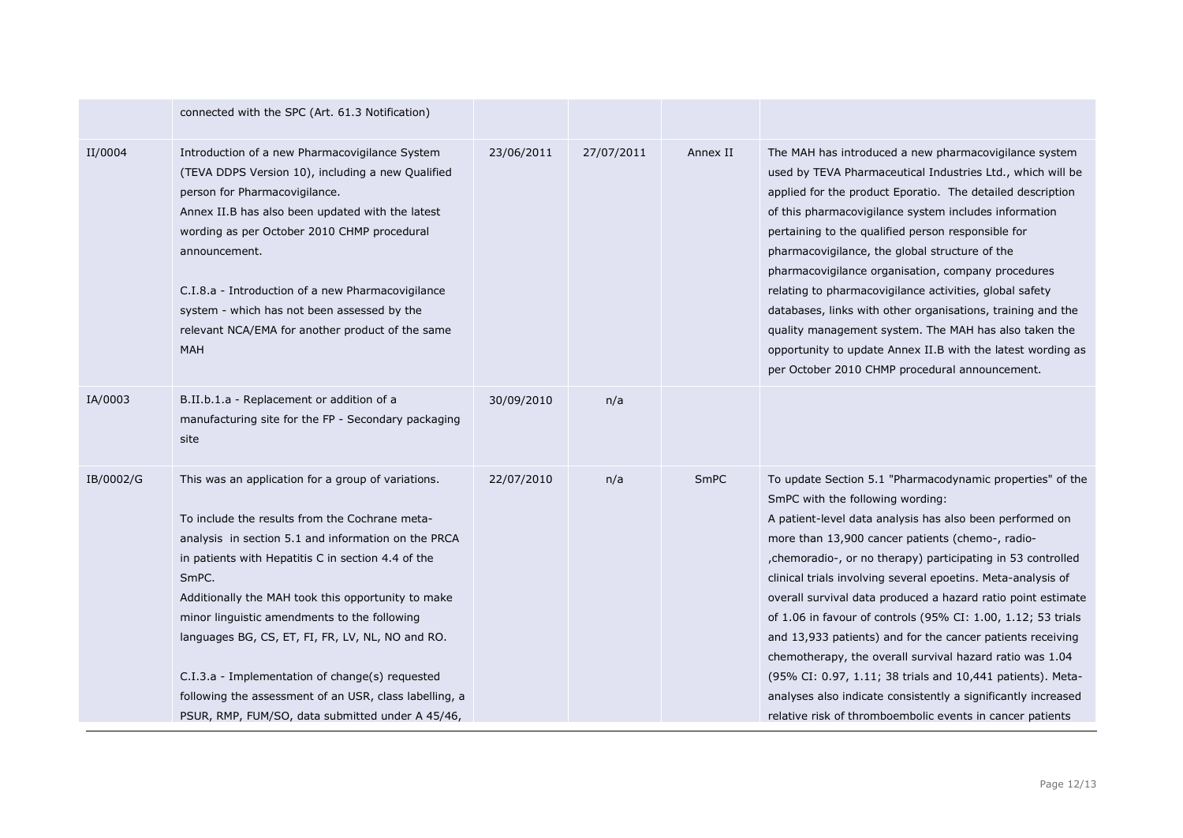|           | connected with the SPC (Art. 61.3 Notification)                                                                                                                                                                                                                                                                                                                                                                                                                                                                                                       |            |            |          |                                                                                                                                                                                                                                                                                                                                                                                                                                                                                                                                                                                                                                                                                                                                                                                                     |
|-----------|-------------------------------------------------------------------------------------------------------------------------------------------------------------------------------------------------------------------------------------------------------------------------------------------------------------------------------------------------------------------------------------------------------------------------------------------------------------------------------------------------------------------------------------------------------|------------|------------|----------|-----------------------------------------------------------------------------------------------------------------------------------------------------------------------------------------------------------------------------------------------------------------------------------------------------------------------------------------------------------------------------------------------------------------------------------------------------------------------------------------------------------------------------------------------------------------------------------------------------------------------------------------------------------------------------------------------------------------------------------------------------------------------------------------------------|
| II/0004   | Introduction of a new Pharmacovigilance System<br>(TEVA DDPS Version 10), including a new Qualified<br>person for Pharmacovigilance.<br>Annex II.B has also been updated with the latest<br>wording as per October 2010 CHMP procedural<br>announcement.<br>C.I.8.a - Introduction of a new Pharmacovigilance<br>system - which has not been assessed by the<br>relevant NCA/EMA for another product of the same<br>MAH                                                                                                                               | 23/06/2011 | 27/07/2011 | Annex II | The MAH has introduced a new pharmacovigilance system<br>used by TEVA Pharmaceutical Industries Ltd., which will be<br>applied for the product Eporatio. The detailed description<br>of this pharmacovigilance system includes information<br>pertaining to the qualified person responsible for<br>pharmacovigilance, the global structure of the<br>pharmacovigilance organisation, company procedures<br>relating to pharmacovigilance activities, global safety<br>databases, links with other organisations, training and the<br>quality management system. The MAH has also taken the<br>opportunity to update Annex II.B with the latest wording as<br>per October 2010 CHMP procedural announcement.                                                                                        |
| IA/0003   | B.II.b.1.a - Replacement or addition of a<br>manufacturing site for the FP - Secondary packaging<br>site                                                                                                                                                                                                                                                                                                                                                                                                                                              | 30/09/2010 | n/a        |          |                                                                                                                                                                                                                                                                                                                                                                                                                                                                                                                                                                                                                                                                                                                                                                                                     |
| IB/0002/G | This was an application for a group of variations.<br>To include the results from the Cochrane meta-<br>analysis in section 5.1 and information on the PRCA<br>in patients with Hepatitis C in section 4.4 of the<br>SmPC.<br>Additionally the MAH took this opportunity to make<br>minor linguistic amendments to the following<br>languages BG, CS, ET, FI, FR, LV, NL, NO and RO.<br>C.I.3.a - Implementation of change(s) requested<br>following the assessment of an USR, class labelling, a<br>PSUR, RMP, FUM/SO, data submitted under A 45/46, | 22/07/2010 | n/a        | SmPC     | To update Section 5.1 "Pharmacodynamic properties" of the<br>SmPC with the following wording:<br>A patient-level data analysis has also been performed on<br>more than 13,900 cancer patients (chemo-, radio-<br>, chemoradio-, or no therapy) participating in 53 controlled<br>clinical trials involving several epoetins. Meta-analysis of<br>overall survival data produced a hazard ratio point estimate<br>of 1.06 in favour of controls (95% CI: 1.00, 1.12; 53 trials<br>and 13,933 patients) and for the cancer patients receiving<br>chemotherapy, the overall survival hazard ratio was 1.04<br>(95% CI: 0.97, 1.11; 38 trials and 10,441 patients). Meta-<br>analyses also indicate consistently a significantly increased<br>relative risk of thromboembolic events in cancer patients |